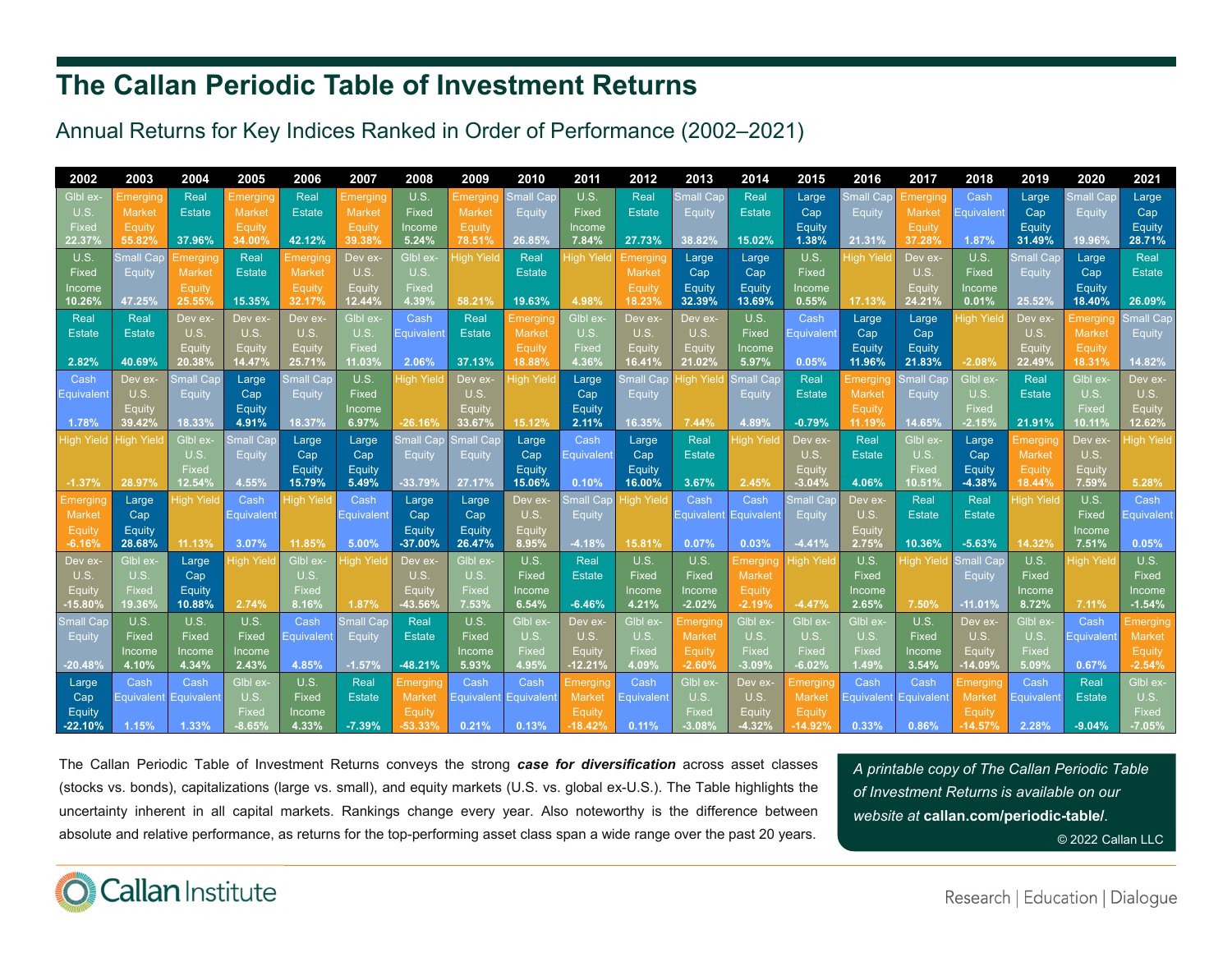## **The Callan Periodic Table of Investment Returns**

## Annual Returns for Key Indices Ranked in Order of Performance (2002–2021)

| 2002              | 2003              | 2004              | 2005              | 2006              | 2007                            | 2008              | 2009                            | 2010                  | 2011                       | 2012                  | 2013                      | 2014                             | 2015                      | 2016                      | 2017              | 2018                      | 2019             | 2020              | 2021                          |
|-------------------|-------------------|-------------------|-------------------|-------------------|---------------------------------|-------------------|---------------------------------|-----------------------|----------------------------|-----------------------|---------------------------|----------------------------------|---------------------------|---------------------------|-------------------|---------------------------|------------------|-------------------|-------------------------------|
| Glbl ex-          | Emergino          | Real              | Emerging          | Real              | Emerging                        | U.S.              | Emerging                        | <b>Small Car</b>      | U.S.                       | Real                  | <b>Small Cap</b>          | Real                             | Large                     | <b>Small Cap</b>          | Emerging          | Cash                      | Large            | <b>Small Cap</b>  | Large                         |
| U.S.              | Market            | <b>Estate</b>     | Market            | <b>Estate</b>     | Market                          | Fixed             | Market                          | Equity                | Fixed                      | <b>Estate</b>         | Equity                    | <b>Estate</b>                    | Cap                       | Equity                    | <b>Market</b>     | Equivalent                | Cap              | Equity            | Cap                           |
| Fixed             | Equity            |                   | Equity            |                   | Equity                          | Income            | Equity                          |                       | Income                     |                       |                           |                                  | Equity                    |                           | <b>Equity</b>     |                           | Equity           |                   | Equity                        |
| 22.37%            | 55.82%            | 37.96%            | 34.00%            | 42.12%            | 39.38%                          | 5.24%             | 78.51%                          | 26.85%                | 7.84%                      | 27.73%                | 38.82%                    | 15.02%                           | 1.38%                     | 21.31%                    | 37.28%            | 1.87%                     | 31.49%           | 19.96%            | 28.71%                        |
| U.S.              | <b>Small Car</b>  | Emerging          | Real              | Emergin           | Dev ex-                         | Glbl ex-          | <b>High Yield</b>               | Real                  | <b>High Yield</b>          | Emerging              | Large                     | Large                            | U.S.                      | High Yield                | Dev ex-           | U.S.                      | <b>Small Cap</b> | Large             | Real                          |
| Fixed             | Equity            | Market            | Estate            | Market            | U.S.                            | U.S.              |                                 | <b>Estate</b>         |                            | <b>Market</b>         | Cap                       | Cap                              | Fixed                     |                           | U.S.              | Fixed                     | Equity           | Cap               | <b>Estate</b>                 |
| Income            |                   | Equity            |                   | Equity            | Equity                          | <b>Fixed</b>      |                                 |                       |                            | Equity                | Equity                    | Equity                           | Income                    |                           | Equity            | Income                    |                  | Equity            |                               |
| 10.26%            | 47.25%            | 25.55%            | 15.35%            | 32.17%            | 12.44%                          | 4.39%             | 58.21%                          | 19.63%                | 4.98%                      | 18.23%                | 32.39%                    | 13.69%                           | 0.55%                     | 17.13%                    | 24.21%            | 0.01%                     | 25.52%           | 18.40%            | 26.09%                        |
| Real              | Real              | Dev ex-           | Dev ex-           | Dev ex·           | Glbl ex-                        | Cash              | Real                            | Emergin               | Gibl ex-                   | Dev ex-               | Dev ex-                   | U.S.                             | Cash                      | Large                     | Large             | High Yield                | Dev ex-          | Emerging          | $\overline{\text{Small Cap}}$ |
| <b>Estate</b>     | <b>Estate</b>     | U.S.              | U.S.              | U.S.              | U.S.                            | Equivalen         | <b>Estate</b>                   | <b>Market</b>         | U.S.                       | U.S.                  | U.S.                      | Fixed                            | Equivalent                | Cap                       | Cap               |                           | U.S.             | <b>Market</b>     | Equity                        |
| 2.82%             | 40.69%            | Equity<br>20.38%  | Equity<br>14.47%  | Equity<br>25.71%  | Fixed<br>11.03%                 | 2.06%             | 37.13%                          | Equity<br>18.88%      | <b>Fixed</b><br>4.36%      | Equity<br>16.41%      | Equity<br>21.02%          | Income<br>5.97%                  | 0.05%                     | Equity<br>11.96%          | Equity<br>21.83%  | $-2.08%$                  | Equity<br>22.49% | Equity<br>18.31%  | 14.82%                        |
| Cash              | Dev ex-           | <b>Small Car</b>  |                   | <b>Small Car</b>  | U.S.                            | <b>High Yield</b> | Dev ex-                         | ligh Yield            |                            | <b>Small Car</b>      | <b>High Yield</b>         | <b>Small Car</b>                 | Real                      |                           | <b>Small Car</b>  | Glbl ex-                  | Real             | Glbl ex-          | Dev ex-                       |
| Equivalen         | U.S.              | <b>Equity</b>     | Large<br>Cap      | Equity            | Fixed                           |                   | U.S.                            |                       | Large<br>Cap               | Equity                |                           | Equity                           | <b>Estate</b>             | Emerging<br><b>Market</b> | Equity            | U.S.                      | <b>Estate</b>    | U.S.              | U.S.                          |
|                   | Equity            |                   | Equity            |                   | Income                          |                   | <b>Equity</b>                   |                       | Equity                     |                       |                           |                                  |                           | Equity                    |                   | Fixed                     |                  | Fixed             | Equity                        |
| 1.78%             | 39.42%            | 18.33%            | 4.91%             | 18.37%            | 6.97%                           | $-26.16%$         | 33.67%                          | 15.12%                | 2.11%                      | 16.35%                | 7.44%                     | 4.89%                            | $-0.79%$                  | 11.19%                    | 14.65%            | $-2.15%$                  | 21.91%           | 10.11%            | 12.62%                        |
| <b>High Yield</b> | <b>High Yield</b> | Glbl ex-          | <b>Small Cap</b>  | <b>Large</b>      | Large                           | Small Car         | $\overline{\mathsf{Small}}$ Cap | Large                 | Cash                       | Large                 | Real                      | ligh Yiel                        | Dev ex-                   | Real                      | Glbl ex-          | Large                     | $E$ merging      | Dev ex-           | <b>High Yield</b>             |
|                   |                   | U.S.              | <b>Equity</b>     | Cap               | Cap                             | Equity            | Equity                          | Cap                   | Equivalent                 | Cap                   | <b>Estate</b>             |                                  | U.S.                      | <b>Estate</b>             | U.S.              | Cap                       | Market           | U.S.              |                               |
|                   |                   | Fixed             |                   | Equity            | Equity                          |                   |                                 | Equity                |                            | Equity                |                           |                                  | Equity                    |                           | Fixed             | Equity                    | Equity           | Equity            |                               |
| $-1.37%$          | 28.97%            | 12.54%            | 4.55%             | 15.79%            | 5.49%                           | $-33.79%$         | 27.17%                          | 15.06%                | 0.10%                      | 16.00%                | 3.67%                     | 2.45%                            | $-3.04%$                  | 4.06%                     | 10.51%            | $-4.38%$                  | 18.44%           | 7.59%             | 5.28%                         |
| Emergir           | Large             | <b>High Yield</b> | Cash              | <b>High Yield</b> | Cash                            | Large             | Large                           | Dev ex-               | Small Car                  | ligh Yiel             | Cash                      | Cash                             | Small Car                 | Dev ex-                   | Real              | Real                      | High Yield       | U.S.              | Cash                          |
| Market            | Cap               |                   | Equivalen         |                   | <b>Equivalent</b>               | Cap               | Cap                             | U.S.                  | Equity                     |                       | Equivalent                | Equivalen                        | Equity                    | U.S.                      | <b>Estate</b>     | <b>Estate</b>             |                  | Fixed             | Equivalent                    |
| Equity            | Equity            |                   |                   |                   |                                 | Equity            | Equity                          | <b>Equity</b>         |                            |                       |                           |                                  |                           | Equity                    |                   |                           |                  | Income            |                               |
| $-6.16%$          | 28.68%            | 11.13%            | 3.07%             | 11.85%            | 5.00%                           | $-37.00%$         | 26.47%                          | 8.95%                 | $-4.18%$                   | 15.81%                | 0.07%                     | 0.03%                            | $-4.41%$                  | 2.75%                     | 10.36%            | $-5.63%$                  | 14.32%           | 7.51%             | 0.05%                         |
| Dev ex-           | Glbl ex-          | Large             | <b>High Yield</b> | Glbl ex-          | High Yield                      | Dev ex-           | Glbl ex-                        | U.S.                  | Real                       | U.S.                  | U.S.                      | Emerging                         | High Yield                | U.S.                      | <b>High Yield</b> | Small Car                 | U.S.             | <b>High Yield</b> | U.S.                          |
| U.S.              | U.S.              | Cap               |                   | U.S.              |                                 | U.S.              | U.S.                            | Fixed                 | <b>Estate</b>              | Fixed                 | Fixed                     | <b>Market</b>                    |                           | Fixed                     |                   | Equity                    | Fixed            |                   | Fixed                         |
| Equity            | Fixed             | Equity            |                   | <b>Fixed</b>      |                                 | <b>Equity</b>     | Fixec                           | Income                |                            | Income                | Income                    | Equity                           |                           | Income                    |                   |                           | Income           |                   | Income                        |
| $-15.80%$         | 19.36%            | 10.88%            | 2.74%             | 8.16%             | 1.87%                           | 43.56%            | 7.53%                           | 6.54%                 | $-6.46%$                   | 4.21%                 | $-2.02%$                  | $-2.19%$                         | $-4.47%$                  | 2.65%                     | 7.50%             | $-11.01%$                 | 8.72%            | 7.11%             | $-1.54%$                      |
| Small Car         | U.S.              | U.S.              | U.S.              | Cash              | $\overline{\mathsf{small}}$ Cap | Real              | U.S.                            | <b>GIbl</b> ex        | Dev ex-                    | Glbl ex-              | $E$ merging               | G <sub>IDI</sub> ex <sub>1</sub> | Gibl ex-                  | Glbl ex-                  | U.S.              | Dev ex-                   | Glbl ex-         | Cash              | <b>Emerging</b>               |
| Equity            | Fixed             | Fixed             | Fixed             | Equivalen         | <b>Equity</b>                   | <b>Estate</b>     | <b>Fixed</b>                    | U.S.                  | U.S.                       | U.S.                  | <b>Market</b>             | U.S.                             | U.S.                      | U.S.                      | Fixed             | U.S.                      | U.S.             | Equivalen         | <b>Market</b>                 |
| $-20.48%$         | Income<br>4.10%   | Income<br>4.34%   | Income<br>2.43%   | 4.85%             | $-1.57%$                        | $-48.21%$         | Income<br>5.93%                 | <b>Fixed</b><br>4.95% | <b>Equity</b><br>$-12.21%$ | <b>Fixed</b><br>4.09% | <b>Equity</b><br>$-2.60%$ | Fixed<br>$-3.09%$                | Fixed<br>$-6.02%$         | Fixed<br>1.49%            | Income<br>3.54%   | Equity<br>$-14.09%$       | Fixed<br>5.09%   | 0.67%             | Equity<br>$-2.54%$            |
|                   | Cash              | Cash              | Glbl ex-          | U.S.              | Real                            | Emerging          | Cash                            | Cash                  |                            | Cash                  | Glbl ex-                  | Dev ex-                          |                           | Cash                      | Cash              |                           | Cash             | Real              | Glbl ex-                      |
| Large<br>Cap      | Equivalent        | Equivalen         | U.S.              | Fixed             | <b>Estate</b>                   | <b>Market</b>     | Equivalent                      | Equivalen             | Emerging<br>Market         | Equivalen             | U.S.                      | U.S.                             | Emerging<br><b>Market</b> | Equivalen                 | Equivalen         | Emerging<br><b>Market</b> | Equivalen        | <b>Estate</b>     | U.S.                          |
| Equity            |                   |                   | <b>Fixed</b>      | Income            |                                 | Equity            |                                 |                       | Equity                     |                       | Fixed                     | Equity                           | Equity                    |                           |                   | Equity                    |                  |                   | Fixed                         |
| $-22.10%$         | 1.15%             | 1.33%             | $-8.65%$          | 4.33%             | $-7.39%$                        | $-53.33%$         | 0.21%                           | 0.13%                 | $-18.42%$                  | 0.11%                 | $-3.08%$                  | $-4.32%$                         | $-14.92%$                 | 0.33%                     | 0.86%             | $-14.57%$                 | 2.28%            | $-9.04%$          | $-7.05%$                      |

The Callan Periodic Table of Investment Returns conveys the strong *case for diversification* across asset classes (stocks vs. bonds), capitalizations (large vs. small), and equity markets (U.S. vs. global ex-U.S.). The Table highlights the uncertainty inherent in all capital markets. Rankings change every year. Also noteworthy is the difference between absolute and relative performance, as returns for the top-performing asset class span <sup>a</sup> wide range over the past 20 years.

*A printable copy of The Callan Periodic Table of Investment Returns is available on our website at* **callan.com/periodic-table/***.*

© 2022 Callan LLC